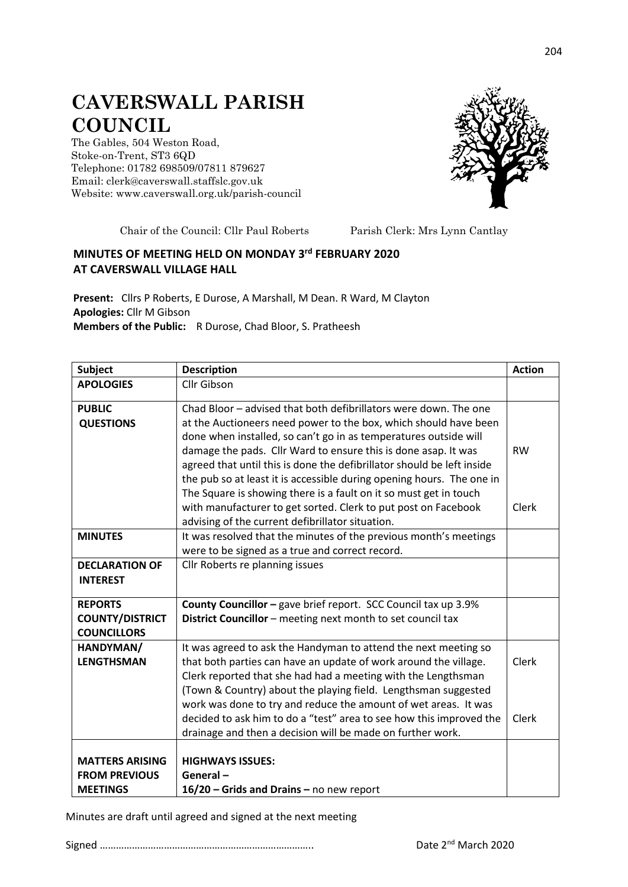## **CAVERSWALL PARISH COUNCIL**

The Gables, 504 Weston Road, Stoke-on-Trent, ST3 6QD Telephone: 01782 698509/07811 879627 Email: clerk@caverswall.staffslc.gov.uk Website: [www.c](http://www.dilhorneparishcouncil.co.uk/)averswall.org.uk/parish-council



Chair of the Council: Cllr Paul Roberts Parish Clerk: Mrs Lynn Cantlay

## **MINUTES OF MEETING HELD ON MONDAY 3 rd FEBRUARY 2020 AT CAVERSWALL VILLAGE HALL**

**Present:** Cllrs P Roberts, E Durose, A Marshall, M Dean. R Ward, M Clayton **Apologies:** Cllr M Gibson **Members of the Public:** R Durose, Chad Bloor, S. Pratheesh

| <b>Subject</b>                               | <b>Description</b>                                                     | <b>Action</b> |
|----------------------------------------------|------------------------------------------------------------------------|---------------|
| <b>APOLOGIES</b>                             | Cllr Gibson                                                            |               |
| <b>PUBLIC</b>                                | Chad Bloor – advised that both defibrillators were down. The one       |               |
| <b>QUESTIONS</b>                             | at the Auctioneers need power to the box, which should have been       |               |
|                                              | done when installed, so can't go in as temperatures outside will       |               |
|                                              | damage the pads. Cllr Ward to ensure this is done asap. It was         | <b>RW</b>     |
|                                              | agreed that until this is done the defibrillator should be left inside |               |
|                                              | the pub so at least it is accessible during opening hours. The one in  |               |
|                                              | The Square is showing there is a fault on it so must get in touch      |               |
|                                              | with manufacturer to get sorted. Clerk to put post on Facebook         | Clerk         |
|                                              | advising of the current defibrillator situation.                       |               |
| <b>MINUTES</b>                               | It was resolved that the minutes of the previous month's meetings      |               |
|                                              | were to be signed as a true and correct record.                        |               |
| <b>DECLARATION OF</b>                        | Cllr Roberts re planning issues                                        |               |
| <b>INTEREST</b>                              |                                                                        |               |
| <b>REPORTS</b>                               | County Councillor - gave brief report. SCC Council tax up 3.9%         |               |
| <b>COUNTY/DISTRICT</b><br><b>COUNCILLORS</b> | District Councillor - meeting next month to set council tax            |               |
| HANDYMAN/                                    | It was agreed to ask the Handyman to attend the next meeting so        |               |
| <b>LENGTHSMAN</b>                            | that both parties can have an update of work around the village.       | Clerk         |
|                                              | Clerk reported that she had had a meeting with the Lengthsman          |               |
|                                              | (Town & Country) about the playing field. Lengthsman suggested         |               |
|                                              | work was done to try and reduce the amount of wet areas. It was        |               |
|                                              | decided to ask him to do a "test" area to see how this improved the    | Clerk         |
|                                              | drainage and then a decision will be made on further work.             |               |
|                                              |                                                                        |               |
| <b>MATTERS ARISING</b>                       | <b>HIGHWAYS ISSUES:</b>                                                |               |
| <b>FROM PREVIOUS</b>                         | General-                                                               |               |
| <b>MEETINGS</b>                              | 16/20 - Grids and Drains - no new report                               |               |

Minutes are draft until agreed and signed at the next meeting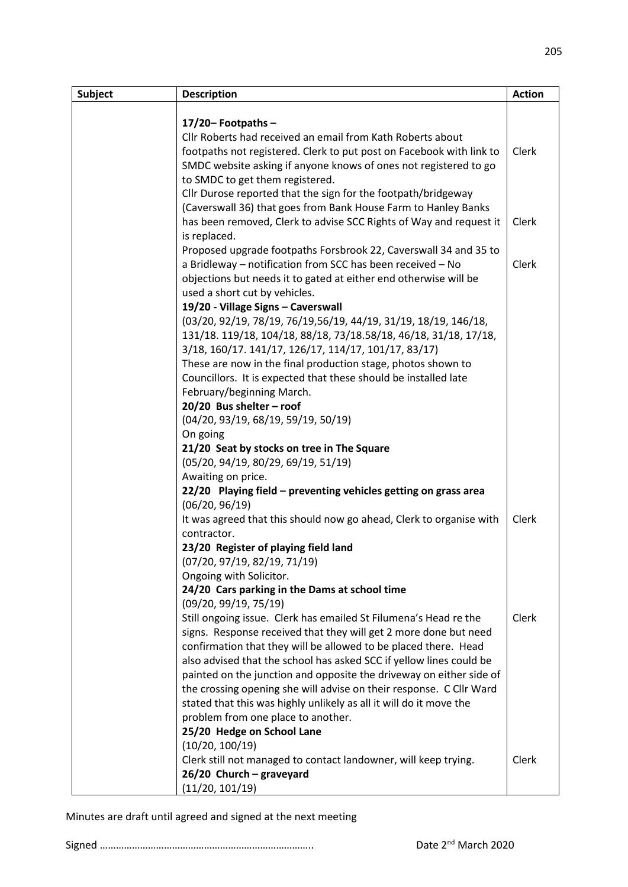| <b>Subject</b> | <b>Description</b>                                                   | <b>Action</b> |
|----------------|----------------------------------------------------------------------|---------------|
|                |                                                                      |               |
|                | 17/20-Footpaths-                                                     |               |
|                | Cllr Roberts had received an email from Kath Roberts about           |               |
|                | footpaths not registered. Clerk to put post on Facebook with link to | Clerk         |
|                | SMDC website asking if anyone knows of ones not registered to go     |               |
|                | to SMDC to get them registered.                                      |               |
|                | Cllr Durose reported that the sign for the footpath/bridgeway        |               |
|                | (Caverswall 36) that goes from Bank House Farm to Hanley Banks       |               |
|                | has been removed, Clerk to advise SCC Rights of Way and request it   | Clerk         |
|                | is replaced.                                                         |               |
|                | Proposed upgrade footpaths Forsbrook 22, Caverswall 34 and 35 to     |               |
|                | a Bridleway - notification from SCC has been received - No           | Clerk         |
|                | objections but needs it to gated at either end otherwise will be     |               |
|                | used a short cut by vehicles.                                        |               |
|                | 19/20 - Village Signs - Caverswall                                   |               |
|                | (03/20, 92/19, 78/19, 76/19, 56/19, 44/19, 31/19, 18/19, 146/18,     |               |
|                | 131/18. 119/18, 104/18, 88/18, 73/18.58/18, 46/18, 31/18, 17/18,     |               |
|                | 3/18, 160/17. 141/17, 126/17, 114/17, 101/17, 83/17)                 |               |
|                | These are now in the final production stage, photos shown to         |               |
|                | Councillors. It is expected that these should be installed late      |               |
|                | February/beginning March.                                            |               |
|                | 20/20 Bus shelter - roof                                             |               |
|                | (04/20, 93/19, 68/19, 59/19, 50/19)                                  |               |
|                | On going                                                             |               |
|                | 21/20 Seat by stocks on tree in The Square                           |               |
|                | (05/20, 94/19, 80/29, 69/19, 51/19)                                  |               |
|                | Awaiting on price.                                                   |               |
|                | 22/20 Playing field - preventing vehicles getting on grass area      |               |
|                | (06/20, 96/19)                                                       |               |
|                | It was agreed that this should now go ahead, Clerk to organise with  | Clerk         |
|                | contractor.                                                          |               |
|                | 23/20 Register of playing field land                                 |               |
|                | (07/20, 97/19, 82/19, 71/19)                                         |               |
|                | Ongoing with Solicitor.                                              |               |
|                | 24/20 Cars parking in the Dams at school time                        |               |
|                | (09/20, 99/19, 75/19)                                                |               |
|                | Still ongoing issue. Clerk has emailed St Filumena's Head re the     | Clerk         |
|                | signs. Response received that they will get 2 more done but need     |               |
|                | confirmation that they will be allowed to be placed there. Head      |               |
|                | also advised that the school has asked SCC if yellow lines could be  |               |
|                | painted on the junction and opposite the driveway on either side of  |               |
|                | the crossing opening she will advise on their response. C Cllr Ward  |               |
|                | stated that this was highly unlikely as all it will do it move the   |               |
|                | problem from one place to another.                                   |               |
|                | 25/20 Hedge on School Lane                                           |               |
|                | (10/20, 100/19)                                                      |               |
|                | Clerk still not managed to contact landowner, will keep trying.      | Clerk         |
|                | 26/20 Church - graveyard                                             |               |
|                | (11/20, 101/19)                                                      |               |

Minutes are draft until agreed and signed at the next meeting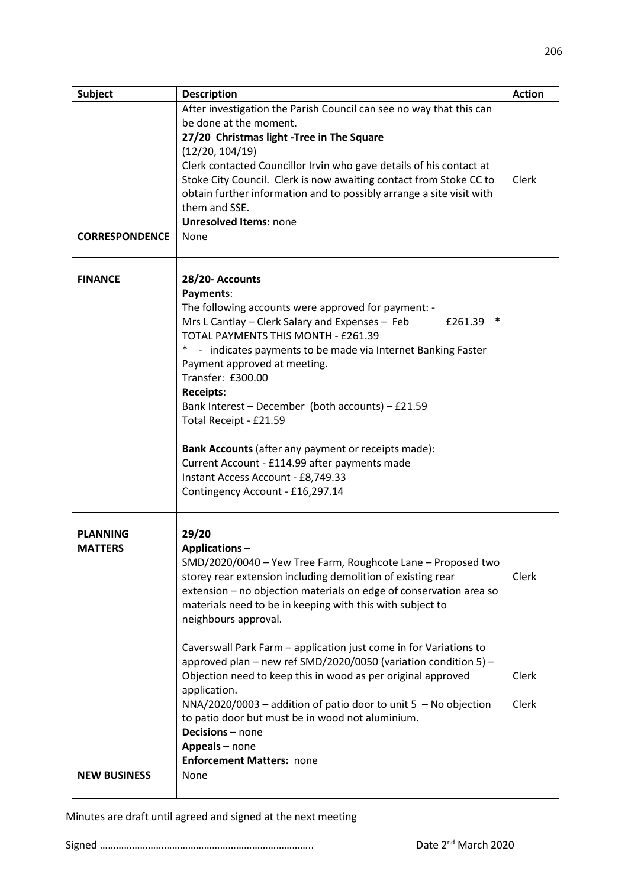| <b>Subject</b>        | <b>Description</b>                                                    | <b>Action</b> |
|-----------------------|-----------------------------------------------------------------------|---------------|
|                       | After investigation the Parish Council can see no way that this can   |               |
|                       | be done at the moment.                                                |               |
|                       | 27/20 Christmas light -Tree in The Square                             |               |
|                       | (12/20, 104/19)                                                       |               |
|                       | Clerk contacted Councillor Irvin who gave details of his contact at   |               |
|                       | Stoke City Council. Clerk is now awaiting contact from Stoke CC to    | Clerk         |
|                       | obtain further information and to possibly arrange a site visit with  |               |
|                       | them and SSE.                                                         |               |
|                       | <b>Unresolved Items: none</b>                                         |               |
| <b>CORRESPONDENCE</b> | <b>None</b>                                                           |               |
|                       |                                                                       |               |
|                       |                                                                       |               |
| <b>FINANCE</b>        | 28/20- Accounts                                                       |               |
|                       | Payments:                                                             |               |
|                       | The following accounts were approved for payment: -                   |               |
|                       | Mrs L Cantlay - Clerk Salary and Expenses - Feb<br>$\ast$<br>£261.39  |               |
|                       | TOTAL PAYMENTS THIS MONTH - £261.39                                   |               |
|                       | $\ast$<br>- indicates payments to be made via Internet Banking Faster |               |
|                       | Payment approved at meeting.                                          |               |
|                       | Transfer: £300.00                                                     |               |
|                       | <b>Receipts:</b>                                                      |               |
|                       | Bank Interest - December (both accounts) - £21.59                     |               |
|                       | Total Receipt - £21.59                                                |               |
|                       |                                                                       |               |
|                       | Bank Accounts (after any payment or receipts made):                   |               |
|                       | Current Account - £114.99 after payments made                         |               |
|                       | Instant Access Account - £8,749.33                                    |               |
|                       | Contingency Account - £16,297.14                                      |               |
|                       |                                                                       |               |
|                       |                                                                       |               |
| <b>PLANNING</b>       | 29/20                                                                 |               |
| <b>MATTERS</b>        | <b>Applications -</b>                                                 |               |
|                       | SMD/2020/0040 - Yew Tree Farm, Roughcote Lane - Proposed two          |               |
|                       | storey rear extension including demolition of existing rear           | Clerk         |
|                       | extension - no objection materials on edge of conservation area so    |               |
|                       | materials need to be in keeping with this with subject to             |               |
|                       | neighbours approval.                                                  |               |
|                       |                                                                       |               |
|                       | Caverswall Park Farm - application just come in for Variations to     |               |
|                       | approved plan - new ref SMD/2020/0050 (variation condition 5) -       |               |
|                       | Objection need to keep this in wood as per original approved          | Clerk         |
|                       | application.                                                          |               |
|                       | $NNA/2020/0003$ – addition of patio door to unit 5 – No objection     | Clerk         |
|                       | to patio door but must be in wood not aluminium.                      |               |
|                       | Decisions - none                                                      |               |
|                       | Appeals - none                                                        |               |
|                       | <b>Enforcement Matters: none</b>                                      |               |
| <b>NEW BUSINESS</b>   | None                                                                  |               |
|                       |                                                                       |               |

Minutes are draft until agreed and signed at the next meeting